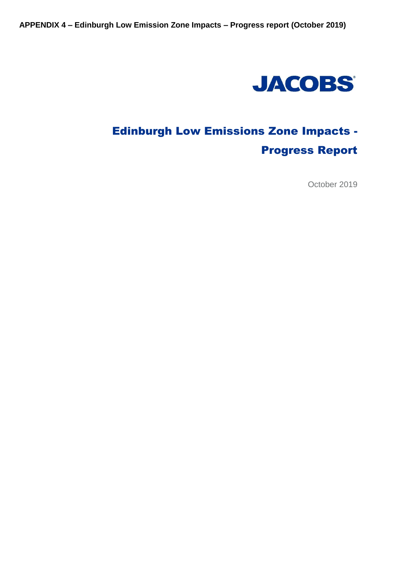

# Edinburgh Low Emissions Zone Impacts - Progress Report

October 2019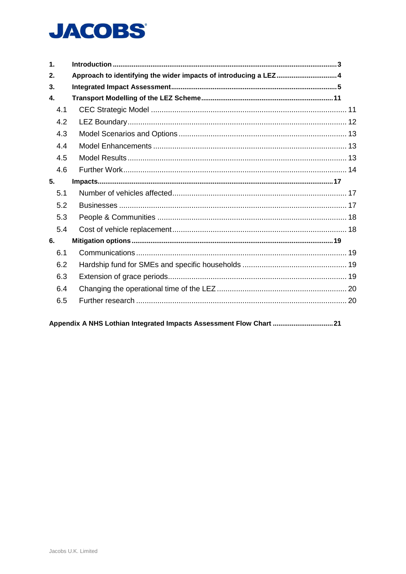# **JACOBS®**

| $\mathbf 1$ . |                                                                  |  |
|---------------|------------------------------------------------------------------|--|
| 2.            | Approach to identifying the wider impacts of introducing a LEZ 4 |  |
| 3.            |                                                                  |  |
| $\mathbf{4}$  |                                                                  |  |
| 4.1           |                                                                  |  |
| 4.2           |                                                                  |  |
| 4.3           |                                                                  |  |
| 4.4           |                                                                  |  |
| 4.5           |                                                                  |  |
| 4.6           |                                                                  |  |
| 5.            |                                                                  |  |
| 5.1           |                                                                  |  |
| 5.2           |                                                                  |  |
| 5.3           |                                                                  |  |
| 5.4           |                                                                  |  |
| 6.            |                                                                  |  |
| 6.1           |                                                                  |  |
| 6.2           |                                                                  |  |
| 6.3           |                                                                  |  |
| 6.4           |                                                                  |  |
| 6.5           |                                                                  |  |
|               |                                                                  |  |

Appendix A NHS Lothian Integrated Impacts Assessment Flow Chart ..................................21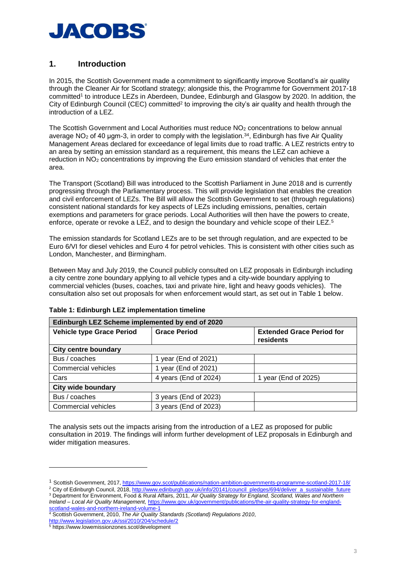

# <span id="page-2-0"></span>**1. Introduction**

In 2015, the Scottish Government made a commitment to significantly improve Scotland's air quality through the Cleaner Air for Scotland strategy; alongside this, the Programme for Government 2017-18 committed<sup>1</sup> to introduce LEZs in Aberdeen, Dundee, Edinburgh and Glasgow by 2020. In addition, the City of Edinburgh Council (CEC) committed<sup>2</sup> to improving the city's air quality and health through the introduction of a LEZ.

The Scottish Government and Local Authorities must reduce NO<sub>2</sub> concentrations to below annual average NO<sub>2</sub> of 40 μgm-3, in order to comply with the legislation. $34$ , Edinburgh has five Air Quality Management Areas declared for exceedance of legal limits due to road traffic. A LEZ restricts entry to an area by setting an emission standard as a requirement, this means the LEZ can achieve a reduction in NO<sup>2</sup> concentrations by improving the Euro emission standard of vehicles that enter the area.

The Transport (Scotland) Bill was introduced to the Scottish Parliament in June 2018 and is currently progressing through the Parliamentary process. This will provide legislation that enables the creation and civil enforcement of LEZs. The Bill will allow the Scottish Government to set (through regulations) consistent national standards for key aspects of LEZs including emissions, penalties, certain exemptions and parameters for grace periods. Local Authorities will then have the powers to create, enforce, operate or revoke a LEZ, and to design the boundary and vehicle scope of their LEZ.<sup>5</sup>

The emission standards for Scotland LEZs are to be set through regulation, and are expected to be Euro 6/VI for diesel vehicles and Euro 4 for petrol vehicles. This is consistent with other cities such as London, Manchester, and Birmingham.

Between May and July 2019, the Council publicly consulted on LEZ proposals in Edinburgh including a city centre zone boundary applying to all vehicle types and a city-wide boundary applying to commercial vehicles (buses, coaches, taxi and private hire, light and heavy goods vehicles). The consultation also set out proposals for when enforcement would start, as set out in Table 1 below.

| Edinburgh LEZ Scheme implemented by end of 2020 |                       |                                               |  |
|-------------------------------------------------|-----------------------|-----------------------------------------------|--|
| <b>Vehicle type Grace Period</b>                | <b>Grace Period</b>   | <b>Extended Grace Period for</b><br>residents |  |
| <b>City centre boundary</b>                     |                       |                                               |  |
| Bus / coaches                                   | 1 year (End of 2021)  |                                               |  |
| Commercial vehicles                             | year (End of 2021)    |                                               |  |
| Cars                                            | 4 years (End of 2024) | 1 year (End of 2025)                          |  |
| <b>City wide boundary</b>                       |                       |                                               |  |
| Bus / coaches                                   | 3 years (End of 2023) |                                               |  |
| Commercial vehicles                             | 3 years (End of 2023) |                                               |  |

#### **Table 1: Edinburgh LEZ implementation timeline**

The analysis sets out the impacts arising from the introduction of a LEZ as proposed for public consultation in 2019. The findings will inform further development of LEZ proposals in Edinburgh and wider mitigation measures.

<sup>2</sup> City of Edinburgh Council, 2018, [http://www.edinburgh.gov.uk/info/20141/council\\_pledges/694/deliver\\_a\\_sustainable\\_future](http://www.edinburgh.gov.uk/info/20141/council_pledges/694/deliver_a_sustainable_future) <sup>3</sup> Department for Environment, Food & Rural Affairs, 2011, *Air Quality Strategy for England, Scotland, Wales and Northern Ireland – Local Air Quality Management,* [https://www.gov.uk/government/publications/the-air-quality-strategy-for-england-](https://www.gov.uk/government/publications/the-air-quality-strategy-for-england-scotland-wales-and-northern-ireland-volume-1)

[scotland-wales-and-northern-ireland-volume-1](https://www.gov.uk/government/publications/the-air-quality-strategy-for-england-scotland-wales-and-northern-ireland-volume-1) <sup>4</sup> Scottish Government, 2010, *The Air Quality Standards (Scotland) Regulations 2010*, <http://www.legislation.gov.uk/ssi/2010/204/schedule/2>

<sup>1</sup> Scottish Government, 2017,<https://www.gov.scot/publications/nation-ambition-governments-programme-scotland-2017-18/>

<sup>5</sup> https://www.lowemissionzones.scot/development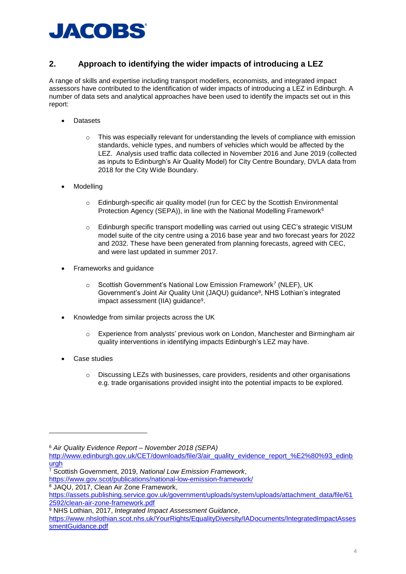

# <span id="page-3-0"></span>**2. Approach to identifying the wider impacts of introducing a LEZ**

A range of skills and expertise including transport modellers, economists, and integrated impact assessors have contributed to the identification of wider impacts of introducing a LEZ in Edinburgh. A number of data sets and analytical approaches have been used to identify the impacts set out in this report:

- Datasets
	- $\circ$  This was especially relevant for understanding the levels of compliance with emission standards, vehicle types, and numbers of vehicles which would be affected by the LEZ. Analysis used traffic data collected in November 2016 and June 2019 (collected as inputs to Edinburgh's Air Quality Model) for City Centre Boundary, DVLA data from 2018 for the City Wide Boundary.
- **Modelling** 
	- $\circ$  Edinburgh-specific air quality model (run for CEC by the Scottish Environmental Protection Agency (SEPA)), in line with the National Modelling Framework<sup>6</sup>
	- o Edinburgh specific transport modelling was carried out using CEC's strategic VISUM model suite of the city centre using a 2016 base year and two forecast years for 2022 and 2032. These have been generated from planning forecasts, agreed with CEC, and were last updated in summer 2017.
- Frameworks and guidance
	- Scottish Government's National Low Emission Framework<sup>7</sup> (NLEF), UK Government's Joint Air Quality Unit (JAQU) guidance<sup>8</sup>, NHS Lothian's integrated impact assessment (IIA) guidance<sup>9</sup>.
- Knowledge from similar projects across the UK
	- o Experience from analysts' previous work on London, Manchester and Birmingham air quality interventions in identifying impacts Edinburgh's LEZ may have.
- Case studies

-

 $\circ$  Discussing LEZs with businesses, care providers, residents and other organisations e.g. trade organisations provided insight into the potential impacts to be explored.

<sup>8</sup> JAQU, 2017, Clean Air Zone Framework,

<sup>6</sup> *Air Quality Evidence Report – November 2018 (SEPA)* 

[http://www.edinburgh.gov.uk/CET/downloads/file/3/air\\_quality\\_evidence\\_report\\_%E2%80%93\\_edinb](http://www.edinburgh.gov.uk/CET/downloads/file/3/air_quality_evidence_report_%E2%80%93_edinburgh) [urgh](http://www.edinburgh.gov.uk/CET/downloads/file/3/air_quality_evidence_report_%E2%80%93_edinburgh)

<sup>7</sup> Scottish Government, 2019, *National Low Emission Framework*,

<https://www.gov.scot/publications/national-low-emission-framework/>

[https://assets.publishing.service.gov.uk/government/uploads/system/uploads/attachment\\_data/file/61](https://assets.publishing.service.gov.uk/government/uploads/system/uploads/attachment_data/file/612592/clean-air-zone-framework.pdf) [2592/clean-air-zone-framework.pdf](https://assets.publishing.service.gov.uk/government/uploads/system/uploads/attachment_data/file/612592/clean-air-zone-framework.pdf)

<sup>9</sup> NHS Lothian, 2017, *Integrated Impact Assessment Guidance*,

[https://www.nhslothian.scot.nhs.uk/YourRights/EqualityDiversity/IADocuments/IntegratedImpactAsses](https://www.nhslothian.scot.nhs.uk/YourRights/EqualityDiversity/IADocuments/IntegratedImpactAssessmentGuidance.pdf) [smentGuidance.pdf](https://www.nhslothian.scot.nhs.uk/YourRights/EqualityDiversity/IADocuments/IntegratedImpactAssessmentGuidance.pdf)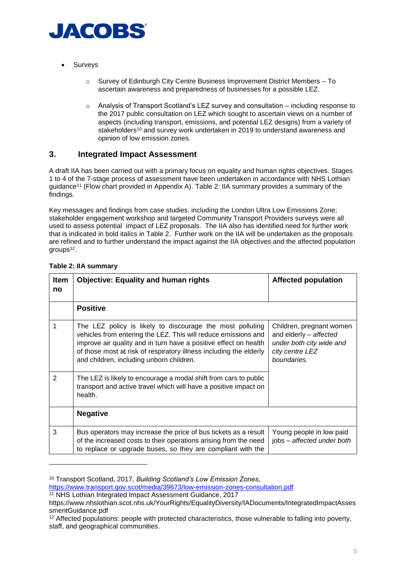

- **Surveys** 
	- $\circ$  Survey of Edinburgh City Centre Business Improvement District Members To ascertain awareness and preparedness of businesses for a possible LEZ.
	- $\circ$  Analysis of Transport Scotland's LEZ survey and consultation including response to the 2017 public consultation on LEZ which sought to ascertain views on a number of aspects (including transport, emissions, and potential LEZ designs) from a variety of stakeholders<sup>10</sup> and survey work undertaken in 2019 to understand awareness and opinion of low emission zones.

# <span id="page-4-0"></span>**3. Integrated Impact Assessment**

A draft IIA has been carried out with a primary focus on equality and human rights objectives. Stages 1 to 4 of the 7-stage process of assessment have been undertaken in accordance with NHS Lothian guidance<sup>11</sup> (Flow chart provided in Appendix A). Table 2: IIA summary provides a summary of the findings.

Key messages and findings from case studies, including the London Ultra Low Emissions Zone; stakeholder engagement workshop and targeted Community Transport Providers surveys were all used to assess potential impact of LEZ proposals. The IIA also has identified need for further work that is indicated in bold italics in Table 2. Further work on the IIA will be undertaken as the proposals are refined and to further understand the impact against the IIA objectives and the affected population groups<sup>12</sup>.

| <b>Item</b><br>no | <b>Objective: Equality and human rights</b>                                                                                                                                                                                                                                                                       | <b>Affected population</b>                                                                                       |
|-------------------|-------------------------------------------------------------------------------------------------------------------------------------------------------------------------------------------------------------------------------------------------------------------------------------------------------------------|------------------------------------------------------------------------------------------------------------------|
|                   | <b>Positive</b>                                                                                                                                                                                                                                                                                                   |                                                                                                                  |
| 1                 | The LEZ policy is likely to discourage the most polluting<br>vehicles from entering the LEZ. This will reduce emissions and<br>improve air quality and in turn have a positive effect on health<br>of those most at risk of respiratory illness including the elderly<br>and children, including unborn children. | Children, pregnant women<br>and elderly - affected<br>under both city wide and<br>city centre LEZ<br>boundaries. |
| 2                 | The LEZ is likely to encourage a modal shift from cars to public<br>transport and active travel which will have a positive impact on<br>health.                                                                                                                                                                   |                                                                                                                  |
|                   | <b>Negative</b>                                                                                                                                                                                                                                                                                                   |                                                                                                                  |
| 3                 | Bus operators may increase the price of bus tickets as a result<br>of the increased costs to their operations arising from the need<br>to replace or upgrade buses, so they are compliant with the                                                                                                                | Young people in low paid<br>jobs - affected under both                                                           |

#### **Table 2: IIA summary**

<sup>10</sup> Transport Scotland, 2017, *Building Scotland's Low Emission Zones*,

<https://www.transport.gov.scot/media/39673/low-emission-zones-consultation.pdf>

<sup>11</sup> NHS Lothian Integrated Impact Assessment Guidance, 2017

https://www.nhslothian.scot.nhs.uk/YourRights/EqualityDiversity/IADocuments/IntegratedImpactAsses smentGuidance.pdf

<sup>12</sup> Affected populations: people with protected characteristics, those vulnerable to falling into poverty, staff, and geographical communities.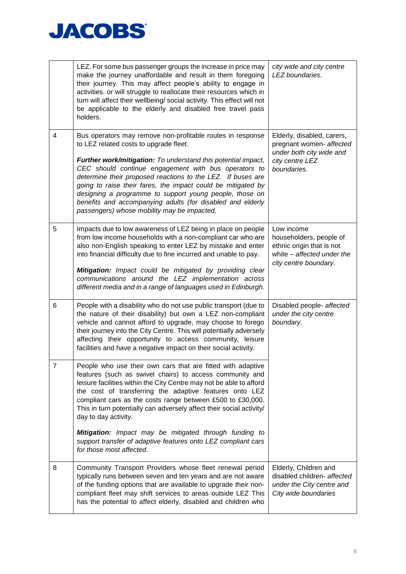

|   | LEZ. For some bus passenger groups the increase in price may<br>make the journey unaffordable and result in them foregoing<br>their journey. This may affect people's ability to engage in<br>activities. or will struggle to reallocate their resources which in<br>turn will affect their wellbeing/ social activity. This effect will not<br>be applicable to the elderly and disabled free travel pass<br>holders.                                                                                                                                                         | city wide and city centre<br>LEZ boundaries.                                                                              |
|---|--------------------------------------------------------------------------------------------------------------------------------------------------------------------------------------------------------------------------------------------------------------------------------------------------------------------------------------------------------------------------------------------------------------------------------------------------------------------------------------------------------------------------------------------------------------------------------|---------------------------------------------------------------------------------------------------------------------------|
| 4 | Bus operators may remove non-profitable routes in response<br>to LEZ related costs to upgrade fleet.<br>Further work/mitigation: To understand this potential impact,<br>CEC should continue engagement with bus operators to<br>determine their proposed reactions to the LEZ. If buses are<br>going to raise their fares, the impact could be mitigated by<br>designing a programme to support young people, those on<br>benefits and accompanying adults (for disabled and elderly<br>passengers) whose mobility may be impacted.                                           | Elderly, disabled, carers,<br>pregnant women- affected<br>under both city wide and<br>city centre LEZ<br>boundaries.      |
| 5 | Impacts due to low awareness of LEZ being in place on people<br>from low income households with a non-compliant car who are<br>also non-English speaking to enter LEZ by mistake and enter<br>into financial difficulty due to fine incurred and unable to pay.<br>Mitigation: Impact could be mitigated by providing clear<br>communications around the LEZ implementation across<br>different media and in a range of languages used in Edinburgh.                                                                                                                           | Low income<br>householders, people of<br>ethnic origin that is not<br>white - affected under the<br>city centre boundary. |
| 6 | People with a disability who do not use public transport (due to<br>the nature of their disability) but own a LEZ non-compliant<br>vehicle and cannot afford to upgrade, may choose to forego<br>their journey into the City Centre. This will potentially adversely<br>affecting their opportunity to access community, leisure<br>facilities and have a negative impact on their social activity.                                                                                                                                                                            | Disabled people- affected<br>under the city centre<br>boundary.                                                           |
| 7 | People who use their own cars that are fitted with adaptive<br>features (such as swivel chairs) to access community and<br>leisure facilities within the City Centre may not be able to afford<br>the cost of transferring the adaptive features onto LEZ<br>compliant cars as the costs range between £500 to £30,000.<br>This in turn potentially can adversely affect their social activity/<br>day to day activity.<br>Mitigation: Impact may be mitigated through funding to<br>support transfer of adaptive features onto LEZ compliant cars<br>for those most affected. |                                                                                                                           |
| 8 | Community Transport Providers whose fleet renewal period<br>typically runs between seven and ten years and are not aware<br>of the funding options that are available to upgrade their non-<br>compliant fleet may shift services to areas outside LEZ This<br>has the potential to affect elderly, disabled and children who                                                                                                                                                                                                                                                  | Elderly, Children and<br>disabled children- affected<br>under the City centre and<br>City wide boundaries                 |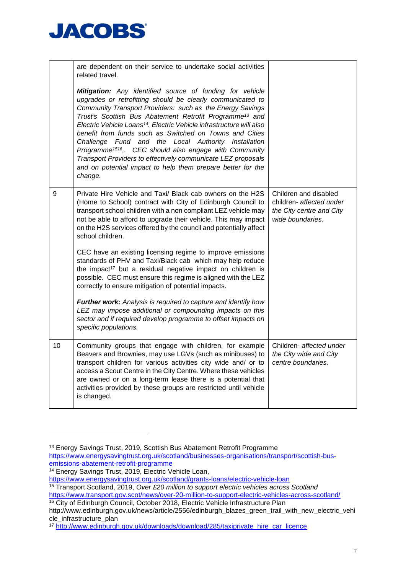

|    | are dependent on their service to undertake social activities<br>related travel.<br>Mitigation: Any identified source of funding for vehicle<br>upgrades or retrofitting should be clearly communicated to<br>Community Transport Providers: such as the Energy Savings<br>Trust's Scottish Bus Abatement Retrofit Programme <sup>13</sup> and<br>Electric Vehicle Loans <sup>14</sup> . Electric Vehicle infrastructure will also<br>benefit from funds such as Switched on Towns and Cities<br>Challenge Fund and the Local Authority Installation<br>Programme <sup>1516</sup> ,. CEC should also engage with Community |                                                                                                   |
|----|----------------------------------------------------------------------------------------------------------------------------------------------------------------------------------------------------------------------------------------------------------------------------------------------------------------------------------------------------------------------------------------------------------------------------------------------------------------------------------------------------------------------------------------------------------------------------------------------------------------------------|---------------------------------------------------------------------------------------------------|
|    | Transport Providers to effectively communicate LEZ proposals<br>and on potential impact to help them prepare better for the<br>change.                                                                                                                                                                                                                                                                                                                                                                                                                                                                                     |                                                                                                   |
| 9  | Private Hire Vehicle and Taxi/ Black cab owners on the H2S<br>(Home to School) contract with City of Edinburgh Council to<br>transport school children with a non compliant LEZ vehicle may<br>not be able to afford to upgrade their vehicle. This may impact<br>on the H2S services offered by the council and potentially affect<br>school children.                                                                                                                                                                                                                                                                    | Children and disabled<br>children- affected under<br>the City centre and City<br>wide boundaries. |
|    | CEC have an existing licensing regime to improve emissions<br>standards of PHV and Taxi/Black cab which may help reduce<br>the impact <sup>17</sup> but a residual negative impact on children is<br>possible. CEC must ensure this regime is aligned with the LEZ<br>correctly to ensure mitigation of potential impacts.                                                                                                                                                                                                                                                                                                 |                                                                                                   |
|    | Further work: Analysis is required to capture and identify how<br>LEZ may impose additional or compounding impacts on this<br>sector and if required develop programme to offset impacts on<br>specific populations.                                                                                                                                                                                                                                                                                                                                                                                                       |                                                                                                   |
| 10 | Community groups that engage with children, for example<br>Beavers and Brownies, may use LGVs (such as minibuses) to<br>transport children for various activities city wide and/ or to<br>access a Scout Centre in the City Centre. Where these vehicles<br>are owned or on a long-term lease there is a potential that<br>activities provided by these groups are restricted until vehicle<br>is changed.                                                                                                                                                                                                                 | Children- affected under<br>the City wide and City<br>centre boundaries.                          |

<sup>13</sup> Energy Savings Trust, 2019, Scottish Bus Abatement Retrofit Programme

[https://www.energysavingtrust.org.uk/scotland/businesses-organisations/transport/scottish-bus](https://www.energysavingtrust.org.uk/scotland/businesses-organisations/transport/scottish-bus-emissions-abatement-retrofit-programme)[emissions-abatement-retrofit-programme](https://www.energysavingtrust.org.uk/scotland/businesses-organisations/transport/scottish-bus-emissions-abatement-retrofit-programme)

<sup>&</sup>lt;sup>14</sup> Energy Savings Trust, 2019, Electric Vehicle Loan,

<https://www.energysavingtrust.org.uk/scotland/grants-loans/electric-vehicle-loan>

<sup>15</sup> Transport Scotland, 2019, *Over £20 million to support electric vehicles across Scotland* <https://www.transport.gov.scot/news/over-20-million-to-support-electric-vehicles-across-scotland/> <sup>16</sup> City of Edinburgh Council, October 2018, Electric Vehicle Infrastructure Plan

http://www.edinburgh.gov.uk/news/article/2556/edinburgh\_blazes\_green\_trail\_with\_new\_electric\_vehi cle\_infrastructure\_plan

<sup>17</sup> [http://www.edinburgh.gov.uk/downloads/download/285/taxiprivate\\_hire\\_car\\_licence](http://www.edinburgh.gov.uk/downloads/download/285/taxiprivate_hire_car_licence)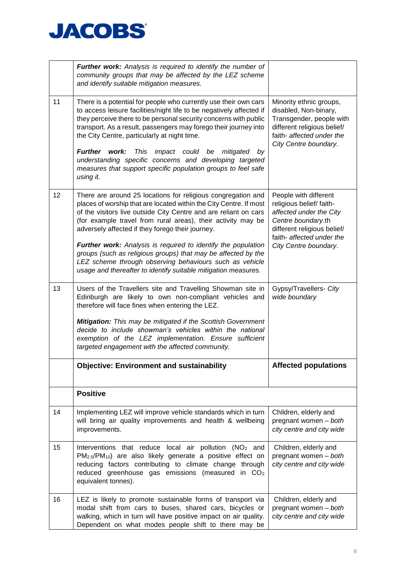

|    | Further work: Analysis is required to identify the number of<br>community groups that may be affected by the LEZ scheme<br>and identify suitable mitigation measures.                                                                                                                                                                                                                                                                                                                                                                                                                     |                                                                                                                                                                                        |
|----|-------------------------------------------------------------------------------------------------------------------------------------------------------------------------------------------------------------------------------------------------------------------------------------------------------------------------------------------------------------------------------------------------------------------------------------------------------------------------------------------------------------------------------------------------------------------------------------------|----------------------------------------------------------------------------------------------------------------------------------------------------------------------------------------|
| 11 | There is a potential for people who currently use their own cars<br>to access leisure facilities/night life to be negatively affected if<br>they perceive there to be personal security concerns with public<br>transport. As a result, passengers may forego their journey into<br>the City Centre, particularly at night time.<br><b>Further</b><br>work:<br>This<br>impact could be<br>mitigated<br>bv<br>understanding specific concerns and developing targeted<br>measures that support specific population groups to feel safe<br>using it.                                        | Minority ethnic groups,<br>disabled, Non-binary,<br>Transgender, people with<br>different religious belief/<br>faith- affected under the<br>City Centre boundary.                      |
| 12 | There are around 25 locations for religious congregation and<br>places of worship that are located within the City Centre. If most<br>of the visitors live outside City Centre and are reliant on cars<br>(for example travel from rural areas), their activity may be<br>adversely affected if they forego their journey.<br>Further work: Analysis is required to identify the population<br>groups (such as religious groups) that may be affected by the<br>LEZ scheme through observing behaviours such as vehicle<br>usage and thereafter to identify suitable mitigation measures. | People with different<br>religious belief/faith-<br>affected under the City<br>Centre boundary.th<br>different religious belief/<br>faith- affected under the<br>City Centre boundary. |
| 13 | Users of the Travellers site and Travelling Showman site in<br>Edinburgh are likely to own non-compliant vehicles and<br>therefore will face fines when entering the LEZ.<br>Mitigation: This may be mitigated if the Scottish Government<br>decide to include showman's vehicles within the national<br>exemption of the LEZ implementation. Ensure sufficient<br>targeted engagement with the affected community.                                                                                                                                                                       | Gypsy/Travellers- City<br>wide boundary                                                                                                                                                |
|    | <b>Objective: Environment and sustainability</b>                                                                                                                                                                                                                                                                                                                                                                                                                                                                                                                                          | <b>Affected populations</b>                                                                                                                                                            |
|    | <b>Positive</b>                                                                                                                                                                                                                                                                                                                                                                                                                                                                                                                                                                           |                                                                                                                                                                                        |
| 14 | Implementing LEZ will improve vehicle standards which in turn<br>will bring air quality improvements and health & wellbeing<br>improvements.                                                                                                                                                                                                                                                                                                                                                                                                                                              | Children, elderly and<br>pregnant women - both<br>city centre and city wide                                                                                                            |
| 15 | Interventions that reduce local air pollution (NO <sub>2</sub> and<br>PM <sub>2.5</sub> /PM <sub>10</sub> ) are also likely generate a positive effect on<br>reducing factors contributing to climate change through<br>reduced greenhouse gas emissions (measured in CO <sub>2</sub><br>equivalent tonnes).                                                                                                                                                                                                                                                                              | Children, elderly and<br>pregnant women - both<br>city centre and city wide                                                                                                            |
| 16 | LEZ is likely to promote sustainable forms of transport via<br>modal shift from cars to buses, shared cars, bicycles or<br>walking, which in turn will have positive impact on air quality.<br>Dependent on what modes people shift to there may be                                                                                                                                                                                                                                                                                                                                       | Children, elderly and<br>pregnant women - both<br>city centre and city wide                                                                                                            |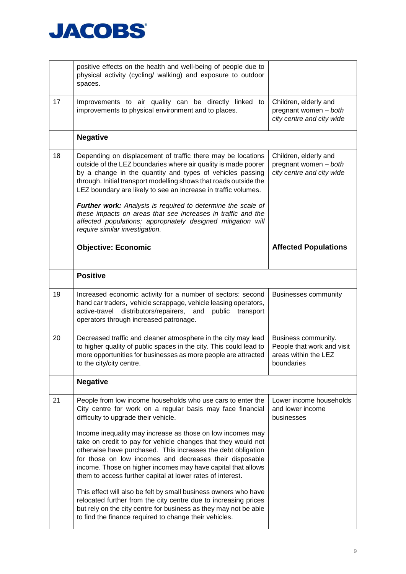

|    | positive effects on the health and well-being of people due to<br>physical activity (cycling/ walking) and exposure to outdoor<br>spaces.                                                                                                                                                                                                                                                                                                                                                                                                                                                                                                                                                                                                                                                                                     |                                                                                         |
|----|-------------------------------------------------------------------------------------------------------------------------------------------------------------------------------------------------------------------------------------------------------------------------------------------------------------------------------------------------------------------------------------------------------------------------------------------------------------------------------------------------------------------------------------------------------------------------------------------------------------------------------------------------------------------------------------------------------------------------------------------------------------------------------------------------------------------------------|-----------------------------------------------------------------------------------------|
| 17 | Improvements to air quality can be directly linked to<br>improvements to physical environment and to places.                                                                                                                                                                                                                                                                                                                                                                                                                                                                                                                                                                                                                                                                                                                  | Children, elderly and<br>pregnant women - both<br>city centre and city wide             |
|    | <b>Negative</b>                                                                                                                                                                                                                                                                                                                                                                                                                                                                                                                                                                                                                                                                                                                                                                                                               |                                                                                         |
| 18 | Depending on displacement of traffic there may be locations<br>outside of the LEZ boundaries where air quality is made poorer<br>by a change in the quantity and types of vehicles passing<br>through. Initial transport modelling shows that roads outside the<br>LEZ boundary are likely to see an increase in traffic volumes.                                                                                                                                                                                                                                                                                                                                                                                                                                                                                             | Children, elderly and<br>pregnant women - both<br>city centre and city wide             |
|    | Further work: Analysis is required to determine the scale of<br>these impacts on areas that see increases in traffic and the<br>affected populations; appropriately designed mitigation will<br>require similar investigation.                                                                                                                                                                                                                                                                                                                                                                                                                                                                                                                                                                                                |                                                                                         |
|    | <b>Objective: Economic</b>                                                                                                                                                                                                                                                                                                                                                                                                                                                                                                                                                                                                                                                                                                                                                                                                    | <b>Affected Populations</b>                                                             |
|    | <b>Positive</b>                                                                                                                                                                                                                                                                                                                                                                                                                                                                                                                                                                                                                                                                                                                                                                                                               |                                                                                         |
| 19 | Increased economic activity for a number of sectors: second<br>hand car traders, vehicle scrappage, vehicle leasing operators,<br>active-travel distributors/repairers,<br>and<br>public<br>transport<br>operators through increased patronage.                                                                                                                                                                                                                                                                                                                                                                                                                                                                                                                                                                               | <b>Businesses community</b>                                                             |
| 20 | Decreased traffic and cleaner atmosphere in the city may lead<br>to higher quality of public spaces in the city. This could lead to<br>more opportunities for businesses as more people are attracted<br>to the city/city centre                                                                                                                                                                                                                                                                                                                                                                                                                                                                                                                                                                                              | Business community.<br>People that work and visit<br>areas within the LEZ<br>boundaries |
|    | <b>Negative</b>                                                                                                                                                                                                                                                                                                                                                                                                                                                                                                                                                                                                                                                                                                                                                                                                               |                                                                                         |
| 21 | People from low income households who use cars to enter the<br>City centre for work on a regular basis may face financial<br>difficulty to upgrade their vehicle.<br>Income inequality may increase as those on low incomes may<br>take on credit to pay for vehicle changes that they would not<br>otherwise have purchased. This increases the debt obligation<br>for those on low incomes and decreases their disposable<br>income. Those on higher incomes may have capital that allows<br>them to access further capital at lower rates of interest.<br>This effect will also be felt by small business owners who have<br>relocated further from the city centre due to increasing prices<br>but rely on the city centre for business as they may not be able<br>to find the finance required to change their vehicles. | Lower income households<br>and lower income<br>businesses                               |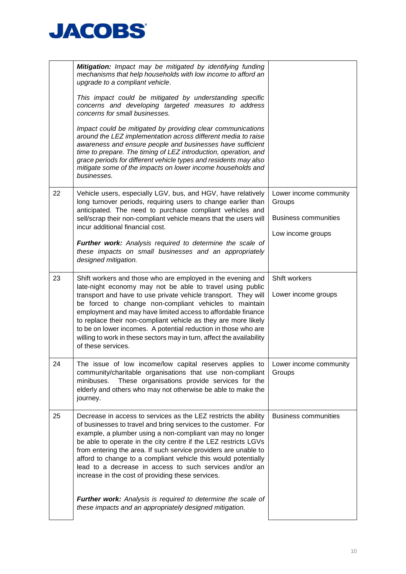

|    | Mitigation: Impact may be mitigated by identifying funding<br>mechanisms that help households with low income to afford an<br>upgrade to a compliant vehicle.<br>This impact could be mitigated by understanding specific<br>concerns and developing targeted measures to address<br>concerns for small businesses.<br>Impact could be mitigated by providing clear communications<br>around the LEZ implementation across different media to raise<br>awareness and ensure people and businesses have sufficient<br>time to prepare. The timing of LEZ introduction, operation, and<br>grace periods for different vehicle types and residents may also<br>mitigate some of the impacts on lower income households and<br>businesses. |                                                                                      |
|----|----------------------------------------------------------------------------------------------------------------------------------------------------------------------------------------------------------------------------------------------------------------------------------------------------------------------------------------------------------------------------------------------------------------------------------------------------------------------------------------------------------------------------------------------------------------------------------------------------------------------------------------------------------------------------------------------------------------------------------------|--------------------------------------------------------------------------------------|
| 22 | Vehicle users, especially LGV, bus, and HGV, have relatively<br>long turnover periods, requiring users to change earlier than<br>anticipated. The need to purchase compliant vehicles and<br>sell/scrap their non-compliant vehicle means that the users will<br>incur additional financial cost.<br>Further work: Analysis required to determine the scale of<br>these impacts on small businesses and an appropriately<br>designed mitigation.                                                                                                                                                                                                                                                                                       | Lower income community<br>Groups<br><b>Business communities</b><br>Low income groups |
| 23 | Shift workers and those who are employed in the evening and<br>late-night economy may not be able to travel using public<br>transport and have to use private vehicle transport. They will<br>be forced to change non-compliant vehicles to maintain<br>employment and may have limited access to affordable finance<br>to replace their non-compliant vehicle as they are more likely<br>to be on lower incomes. A potential reduction in those who are<br>willing to work in these sectors may in turn, affect the availability<br>of these services.                                                                                                                                                                                | Shift workers<br>Lower income groups                                                 |
| 24 | The issue of low income/low capital reserves applies to $\vert$ Lower income community<br>community/charitable organisations that use non-compliant<br>These organisations provide services for the<br>minibuses.<br>elderly and others who may not otherwise be able to make the<br>journey.                                                                                                                                                                                                                                                                                                                                                                                                                                          | Groups                                                                               |
| 25 | Decrease in access to services as the LEZ restricts the ability<br>of businesses to travel and bring services to the customer. For<br>example, a plumber using a non-compliant van may no longer<br>be able to operate in the city centre if the LEZ restricts LGVs<br>from entering the area. If such service providers are unable to<br>afford to change to a compliant vehicle this would potentially<br>lead to a decrease in access to such services and/or an<br>increase in the cost of providing these services.                                                                                                                                                                                                               | <b>Business communities</b>                                                          |
|    | Further work: Analysis is required to determine the scale of<br>these impacts and an appropriately designed mitigation.                                                                                                                                                                                                                                                                                                                                                                                                                                                                                                                                                                                                                |                                                                                      |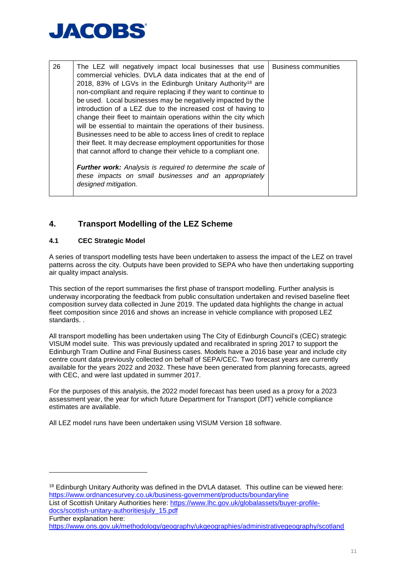

| 26 | The LEZ will negatively impact local businesses that use<br>commercial vehicles. DVLA data indicates that at the end of<br>2018, 83% of LGVs in the Edinburgh Unitary Authority <sup>18</sup> are<br>non-compliant and require replacing if they want to continue to<br>be used. Local businesses may be negatively impacted by the<br>introduction of a LEZ due to the increased cost of having to<br>change their fleet to maintain operations within the city which<br>will be essential to maintain the operations of their business.<br>Businesses need to be able to access lines of credit to replace<br>their fleet. It may decrease employment opportunities for those<br>that cannot afford to change their vehicle to a compliant one.<br>Further work: Analysis is required to determine the scale of | <b>Business communities</b> |
|----|-------------------------------------------------------------------------------------------------------------------------------------------------------------------------------------------------------------------------------------------------------------------------------------------------------------------------------------------------------------------------------------------------------------------------------------------------------------------------------------------------------------------------------------------------------------------------------------------------------------------------------------------------------------------------------------------------------------------------------------------------------------------------------------------------------------------|-----------------------------|
|    | these impacts on small businesses and an appropriately<br>designed mitigation.                                                                                                                                                                                                                                                                                                                                                                                                                                                                                                                                                                                                                                                                                                                                    |                             |

# <span id="page-10-0"></span>**4. Transport Modelling of the LEZ Scheme**

## <span id="page-10-1"></span>**4.1 CEC Strategic Model**

-

A series of transport modelling tests have been undertaken to assess the impact of the LEZ on travel patterns across the city. Outputs have been provided to SEPA who have then undertaking supporting air quality impact analysis.

This section of the report summarises the first phase of transport modelling. Further analysis is underway incorporating the feedback from public consultation undertaken and revised baseline fleet composition survey data collected in June 2019. The updated data highlights the change in actual fleet composition since 2016 and shows an increase in vehicle compliance with proposed LEZ standards. .

All transport modelling has been undertaken using The City of Edinburgh Council's (CEC) strategic VISUM model suite. This was previously updated and recalibrated in spring 2017 to support the Edinburgh Tram Outline and Final Business cases. Models have a 2016 base year and include city centre count data previously collected on behalf of SEPA/CEC. Two forecast years are currently available for the years 2022 and 2032. These have been generated from planning forecasts, agreed with CEC, and were last updated in summer 2017.

For the purposes of this analysis, the 2022 model forecast has been used as a proxy for a 2023 assessment year, the year for which future Department for Transport (DfT) vehicle compliance estimates are available.

All LEZ model runs have been undertaken using VISUM Version 18 software.

<sup>18</sup> Edinburgh Unitary Authority was defined in the DVLA dataset. This outline can be viewed here: <https://www.ordnancesurvey.co.uk/business-government/products/boundaryline> List of Scottish Unitary Authorities here: [https://www.lhc.gov.uk/globalassets/buyer-profile-](https://www.lhc.gov.uk/globalassets/buyer-profile-docs/scottish-unitary-authoritiesjuly_15.pdf)

[docs/scottish-unitary-authoritiesjuly\\_15.pdf](https://www.lhc.gov.uk/globalassets/buyer-profile-docs/scottish-unitary-authoritiesjuly_15.pdf) Further explanation here:

<https://www.ons.gov.uk/methodology/geography/ukgeographies/administrativegeography/scotland>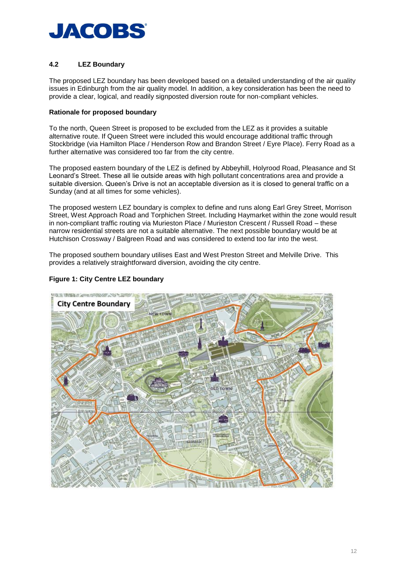

## <span id="page-11-0"></span>**4.2 LEZ Boundary**

The proposed LEZ boundary has been developed based on a detailed understanding of the air quality issues in Edinburgh from the air quality model. In addition, a key consideration has been the need to provide a clear, logical, and readily signposted diversion route for non-compliant vehicles.

#### **Rationale for proposed boundary**

To the north, Queen Street is proposed to be excluded from the LEZ as it provides a suitable alternative route. If Queen Street were included this would encourage additional traffic through Stockbridge (via Hamilton Place / Henderson Row and Brandon Street / Eyre Place). Ferry Road as a further alternative was considered too far from the city centre.

The proposed eastern boundary of the LEZ is defined by Abbeyhill, Holyrood Road, Pleasance and St Leonard's Street. These all lie outside areas with high pollutant concentrations area and provide a suitable diversion. Queen's Drive is not an acceptable diversion as it is closed to general traffic on a Sunday (and at all times for some vehicles).

The proposed western LEZ boundary is complex to define and runs along Earl Grey Street, Morrison Street, West Approach Road and Torphichen Street. Including Haymarket within the zone would result in non-compliant traffic routing via Murieston Place / Murieston Crescent / Russell Road – these narrow residential streets are not a suitable alternative. The next possible boundary would be at Hutchison Crossway / Balgreen Road and was considered to extend too far into the west.

The proposed southern boundary utilises East and West Preston Street and Melville Drive. This provides a relatively straightforward diversion, avoiding the city centre.



#### **Figure 1: City Centre LEZ boundary**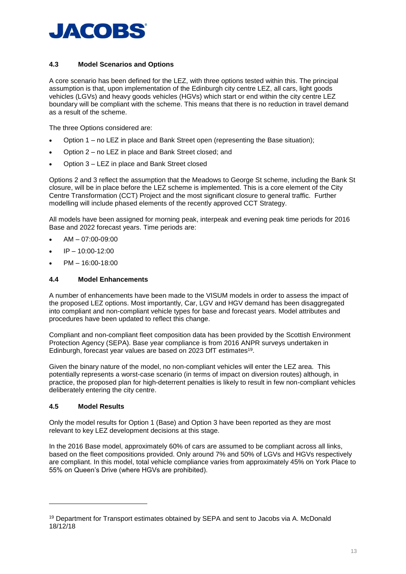

#### <span id="page-12-0"></span>**4.3 Model Scenarios and Options**

A core scenario has been defined for the LEZ, with three options tested within this. The principal assumption is that, upon implementation of the Edinburgh city centre LEZ, all cars, light goods vehicles (LGVs) and heavy goods vehicles (HGVs) which start or end within the city centre LEZ boundary will be compliant with the scheme. This means that there is no reduction in travel demand as a result of the scheme.

The three Options considered are:

- Option 1 no LEZ in place and Bank Street open (representing the Base situation);
- Option 2 no LEZ in place and Bank Street closed; and
- Option 3 LEZ in place and Bank Street closed

Options 2 and 3 reflect the assumption that the Meadows to George St scheme, including the Bank St closure, will be in place before the LEZ scheme is implemented. This is a core element of the City Centre Transformation (CCT) Project and the most significant closure to general traffic. Further modelling will include phased elements of the recently approved CCT Strategy.

All models have been assigned for morning peak, interpeak and evening peak time periods for 2016 Base and 2022 forecast years. Time periods are:

- AM 07:00-09:00
- $IP 10:00 12:00$
- PM 16:00-18:00

#### <span id="page-12-1"></span>**4.4 Model Enhancements**

A number of enhancements have been made to the VISUM models in order to assess the impact of the proposed LEZ options. Most importantly, Car, LGV and HGV demand has been disaggregated into compliant and non-compliant vehicle types for base and forecast years. Model attributes and procedures have been updated to reflect this change.

Compliant and non-compliant fleet composition data has been provided by the Scottish Environment Protection Agency (SEPA). Base year compliance is from 2016 ANPR surveys undertaken in Edinburgh, forecast year values are based on 2023 DfT estimates<sup>19</sup>.

Given the binary nature of the model, no non-compliant vehicles will enter the LEZ area. This potentially represents a worst-case scenario (in terms of impact on diversion routes) although, in practice, the proposed plan for high-deterrent penalties is likely to result in few non-compliant vehicles deliberately entering the city centre.

#### <span id="page-12-2"></span>**4.5 Model Results**

-

Only the model results for Option 1 (Base) and Option 3 have been reported as they are most relevant to key LEZ development decisions at this stage.

In the 2016 Base model, approximately 60% of cars are assumed to be compliant across all links, based on the fleet compositions provided. Only around 7% and 50% of LGVs and HGVs respectively are compliant. In this model, total vehicle compliance varies from approximately 45% on York Place to 55% on Queen's Drive (where HGVs are prohibited).

<sup>19</sup> Department for Transport estimates obtained by SEPA and sent to Jacobs via A. McDonald 18/12/18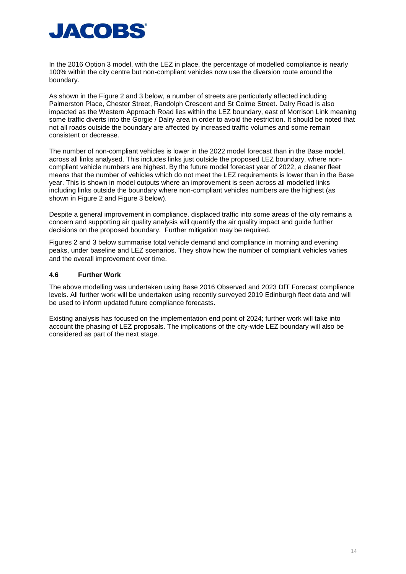

In the 2016 Option 3 model, with the LEZ in place, the percentage of modelled compliance is nearly 100% within the city centre but non-compliant vehicles now use the diversion route around the boundary.

As shown in the Figure 2 and 3 below, a number of streets are particularly affected including Palmerston Place, Chester Street, Randolph Crescent and St Colme Street. Dalry Road is also impacted as the Western Approach Road lies within the LEZ boundary, east of Morrison Link meaning some traffic diverts into the Gorgie / Dalry area in order to avoid the restriction. It should be noted that not all roads outside the boundary are affected by increased traffic volumes and some remain consistent or decrease.

The number of non-compliant vehicles is lower in the 2022 model forecast than in the Base model, across all links analysed. This includes links just outside the proposed LEZ boundary, where noncompliant vehicle numbers are highest. By the future model forecast year of 2022, a cleaner fleet means that the number of vehicles which do not meet the LEZ requirements is lower than in the Base year. This is shown in model outputs where an improvement is seen across all modelled links including links outside the boundary where non-compliant vehicles numbers are the highest (as shown in [Figure 2](#page-14-0) and [Figure 3](#page-15-0) below).

Despite a general improvement in compliance, displaced traffic into some areas of the city remains a concern and supporting air quality analysis will quantify the air quality impact and guide further decisions on the proposed boundary. Further mitigation may be required.

Figures 2 and 3 below summarise total vehicle demand and compliance in morning and evening peaks, under baseline and LEZ scenarios. They show how the number of compliant vehicles varies and the overall improvement over time.

#### <span id="page-13-0"></span>**4.6 Further Work**

The above modelling was undertaken using Base 2016 Observed and 2023 DfT Forecast compliance levels. All further work will be undertaken using recently surveyed 2019 Edinburgh fleet data and will be used to inform updated future compliance forecasts.

Existing analysis has focused on the implementation end point of 2024; further work will take into account the phasing of LEZ proposals. The implications of the city-wide LEZ boundary will also be considered as part of the next stage.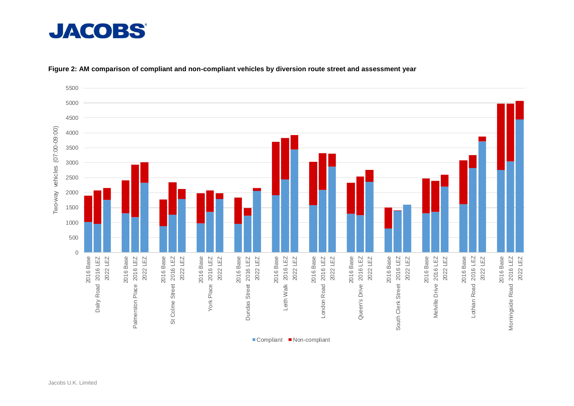

<span id="page-14-0"></span>

#### **Figure 2: AM comparison of compliant and non-compliant vehicles by diversion route street and assessment year**

■ Compliant ■ Non-compliant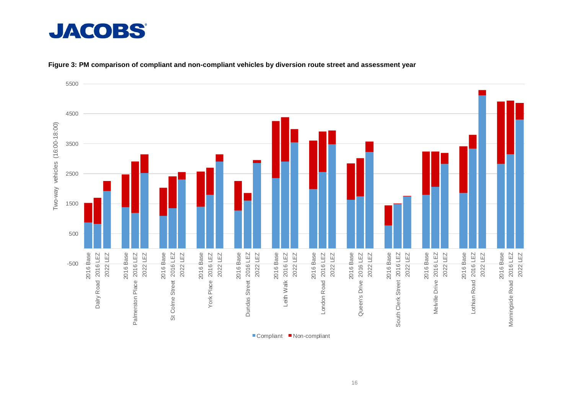# **JACOBS®**

<span id="page-15-0"></span>

#### **Figure 3: PM comparison of compliant and non-compliant vehicles by diversion route street and assessment year**

■ Compliant ■ Non-compliant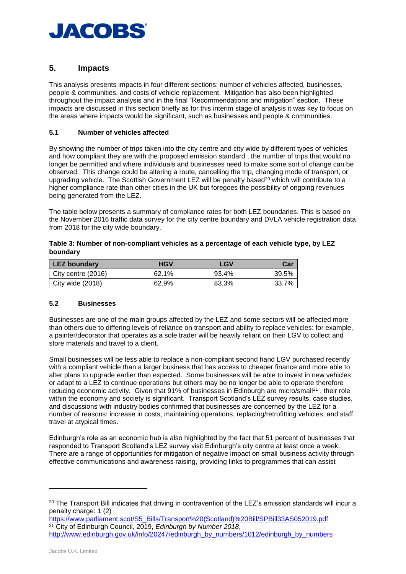

# <span id="page-16-0"></span>**5. Impacts**

This analysis presents impacts in four different sections: number of vehicles affected, businesses, people & communities, and costs of vehicle replacement. Mitigation has also been highlighted throughout the impact analysis and in the final "Recommendations and mitigation" section. These impacts are discussed in this section briefly as for this interim stage of analysis it was key to focus on the areas where impacts would be significant, such as businesses and people & communities.

#### <span id="page-16-1"></span>**5.1 Number of vehicles affected**

By showing the number of trips taken into the city centre and city wide by different types of vehicles and how compliant they are with the proposed emission standard , the number of trips that would no longer be permitted and where individuals and businesses need to make some sort of change can be observed. This change could be altering a route, cancelling the trip, changing mode of transport, or upgrading vehicle. The Scottish Government LEZ will be penalty based<sup>20</sup> which will contribute to a higher compliance rate than other cities in the UK but foregoes the possibility of ongoing revenues being generated from the LEZ.

The table below presents a summary of compliance rates for both LEZ boundaries. This is based on the November 2016 traffic data survey for the city centre boundary and DVLA vehicle registration data from 2018 for the city wide boundary.

| Table 3: Number of non-compliant vehicles as a percentage of each vehicle type, by LEZ |  |
|----------------------------------------------------------------------------------------|--|
| boundary                                                                               |  |

| LEZ boundary       | <b>HGV</b> | LGV   | Car   |
|--------------------|------------|-------|-------|
| City centre (2016) | 62.1%      | 93.4% | 39.5% |
| City wide (2018)   | 62.9%      | 83.3% | 33.7% |

#### <span id="page-16-2"></span>**5.2 Businesses**

Businesses are one of the main groups affected by the LEZ and some sectors will be affected more than others due to differing levels of reliance on transport and ability to replace vehicles: for example, a painter/decorator that operates as a sole trader will be heavily reliant on their LGV to collect and store materials and travel to a client.

Small businesses will be less able to replace a non-compliant second hand LGV purchased recently with a compliant vehicle than a larger business that has access to cheaper finance and more able to alter plans to upgrade earlier than expected. Some businesses will be able to invest in new vehicles or adapt to a LEZ to continue operations but others may be no longer be able to operate therefore reducing economic activity. Given that 91% of businesses in Edinburgh are micro/small<sup>21</sup>, their role within the economy and society is significant. Transport Scotland's LEZ survey results, case studies, and discussions with industry bodies confirmed that businesses are concerned by the LEZ for a number of reasons: increase in costs, maintaining operations, replacing/retrofitting vehicles, and staff travel at atypical times.

Edinburgh's role as an economic hub is also highlighted by the fact that 51 percent of businesses that responded to Transport Scotland's LEZ survey visit Edinburgh's city centre at least once a week. There are a range of opportunities for mitigation of negative impact on small business activity through effective communications and awareness raising, providing links to programmes that can assist

[https://www.parliament.scot/S5\\_Bills/Transport%20\(Scotland\)%20Bill/SPBill33AS052019.pdf](https://www.parliament.scot/S5_Bills/Transport%20(Scotland)%20Bill/SPBill33AS052019.pdf) <sup>21</sup> City of Edinburgh Council, 2019, *Edinburgh by Number 2018*, [http://www.edinburgh.gov.uk/info/20247/edinburgh\\_by\\_numbers/1012/edinburgh\\_by\\_numbers](http://www.edinburgh.gov.uk/info/20247/edinburgh_by_numbers/1012/edinburgh_by_numbers)

<sup>&</sup>lt;sup>20</sup> The Transport Bill indicates that driving in contravention of the LEZ's emission standards will incur a penalty charge: 1 (2)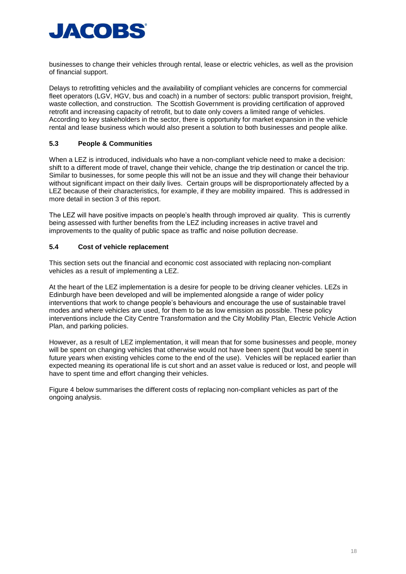

businesses to change their vehicles through rental, lease or electric vehicles, as well as the provision of financial support.

Delays to retrofitting vehicles and the availability of compliant vehicles are concerns for commercial fleet operators (LGV, HGV, bus and coach) in a number of sectors: public transport provision, freight, waste collection, and construction. The Scottish Government is providing certification of approved retrofit and increasing capacity of retrofit, but to date only covers a limited range of vehicles. According to key stakeholders in the sector, there is opportunity for market expansion in the vehicle rental and lease business which would also present a solution to both businesses and people alike.

#### <span id="page-17-0"></span>**5.3 People & Communities**

When a LEZ is introduced, individuals who have a non-compliant vehicle need to make a decision: shift to a different mode of travel, change their vehicle, change the trip destination or cancel the trip. Similar to businesses, for some people this will not be an issue and they will change their behaviour without significant impact on their daily lives. Certain groups will be disproportionately affected by a LEZ because of their characteristics, for example, if they are mobility impaired. This is addressed in more detail in section 3 of this report.

The LEZ will have positive impacts on people's health through improved air quality. This is currently being assessed with further benefits from the LEZ including increases in active travel and improvements to the quality of public space as traffic and noise pollution decrease.

#### <span id="page-17-1"></span>**5.4 Cost of vehicle replacement**

This section sets out the financial and economic cost associated with replacing non-compliant vehicles as a result of implementing a LEZ.

At the heart of the LEZ implementation is a desire for people to be driving cleaner vehicles. LEZs in Edinburgh have been developed and will be implemented alongside a range of wider policy interventions that work to change people's behaviours and encourage the use of sustainable travel modes and where vehicles are used, for them to be as low emission as possible. These policy interventions include the City Centre Transformation and the City Mobility Plan, Electric Vehicle Action Plan, and parking policies.

However, as a result of LEZ implementation, it will mean that for some businesses and people, money will be spent on changing vehicles that otherwise would not have been spent (but would be spent in future years when existing vehicles come to the end of the use). Vehicles will be replaced earlier than expected meaning its operational life is cut short and an asset value is reduced or lost, and people will have to spent time and effort changing their vehicles.

[Figure 4](#page-18-4) below summarises the different costs of replacing non-compliant vehicles as part of the ongoing analysis.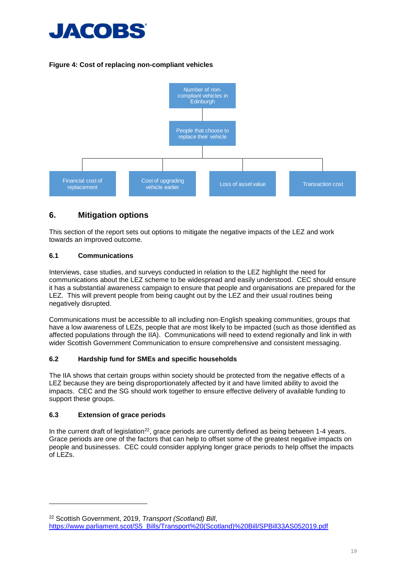

# <span id="page-18-4"></span>**Figure 4: Cost of replacing non-compliant vehicles**



# <span id="page-18-0"></span>**6. Mitigation options**

This section of the report sets out options to mitigate the negative impacts of the LEZ and work towards an improved outcome.

#### <span id="page-18-1"></span>**6.1 Communications**

Interviews, case studies, and surveys conducted in relation to the LEZ highlight the need for communications about the LEZ scheme to be widespread and easily understood. CEC should ensure it has a substantial awareness campaign to ensure that people and organisations are prepared for the LEZ. This will prevent people from being caught out by the LEZ and their usual routines being negatively disrupted.

Communications must be accessible to all including non-English speaking communities, groups that have a low awareness of LEZs, people that are most likely to be impacted (such as those identified as affected populations through the IIA). Communications will need to extend regionally and link in with wider Scottish Government Communication to ensure comprehensive and consistent messaging.

#### <span id="page-18-2"></span>**6.2 Hardship fund for SMEs and specific households**

The IIA shows that certain groups within society should be protected from the negative effects of a LEZ because they are being disproportionately affected by it and have limited ability to avoid the impacts. CEC and the SG should work together to ensure effective delivery of available funding to support these groups.

#### <span id="page-18-3"></span>**6.3 Extension of grace periods**

-

In the current draft of legislation<sup>22</sup>, grace periods are currently defined as being between 1-4 years. Grace periods are one of the factors that can help to offset some of the greatest negative impacts on people and businesses. CEC could consider applying longer grace periods to help offset the impacts of LEZs.

<sup>22</sup> Scottish Government, 2019, *Transport (Scotland) Bill*, [https://www.parliament.scot/S5\\_Bills/Transport%20\(Scotland\)%20Bill/SPBill33AS052019.pdf](https://www.parliament.scot/S5_Bills/Transport%20(Scotland)%20Bill/SPBill33AS052019.pdf)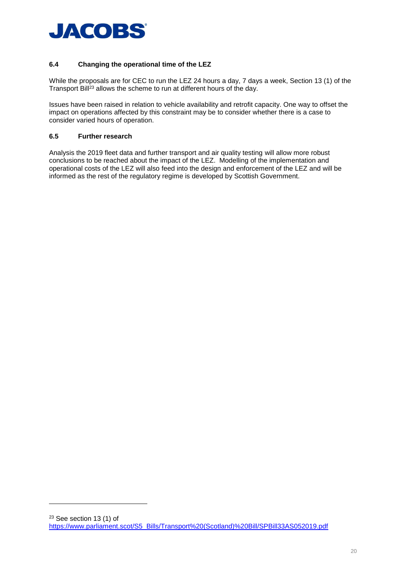

## <span id="page-19-0"></span>**6.4 Changing the operational time of the LEZ**

While the proposals are for CEC to run the LEZ 24 hours a day, 7 days a week, Section 13 (1) of the Transport Bill<sup>23</sup> allows the scheme to run at different hours of the day.

Issues have been raised in relation to vehicle availability and retrofit capacity. One way to offset the impact on operations affected by this constraint may be to consider whether there is a case to consider varied hours of operation.

#### <span id="page-19-1"></span>**6.5 Further research**

-

Analysis the 2019 fleet data and further transport and air quality testing will allow more robust conclusions to be reached about the impact of the LEZ. Modelling of the implementation and operational costs of the LEZ will also feed into the design and enforcement of the LEZ and will be informed as the rest of the regulatory regime is developed by Scottish Government.